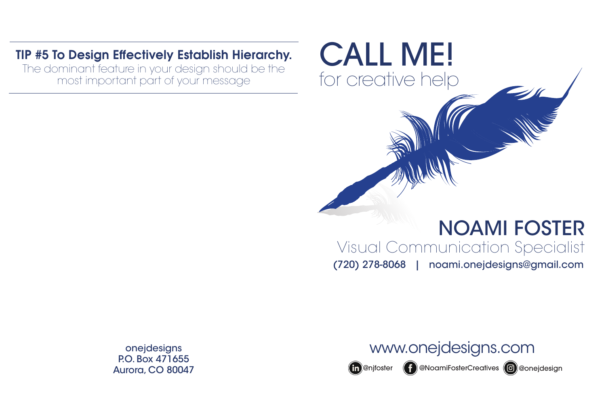# (720) 278-8068 | noami.onejdesigns@gmail.com

onejdesigns P.O. Box 471655 Aurora, CO 80047

# www.onejdesigns.com

(in)@njfoster (f)@NoamiFosterCreatives @@onejdesign



# TIP #5 To Design Effectively Establish Hierarchy.

The dominant feature in your design should be the most important part of your message

# CALL ME!